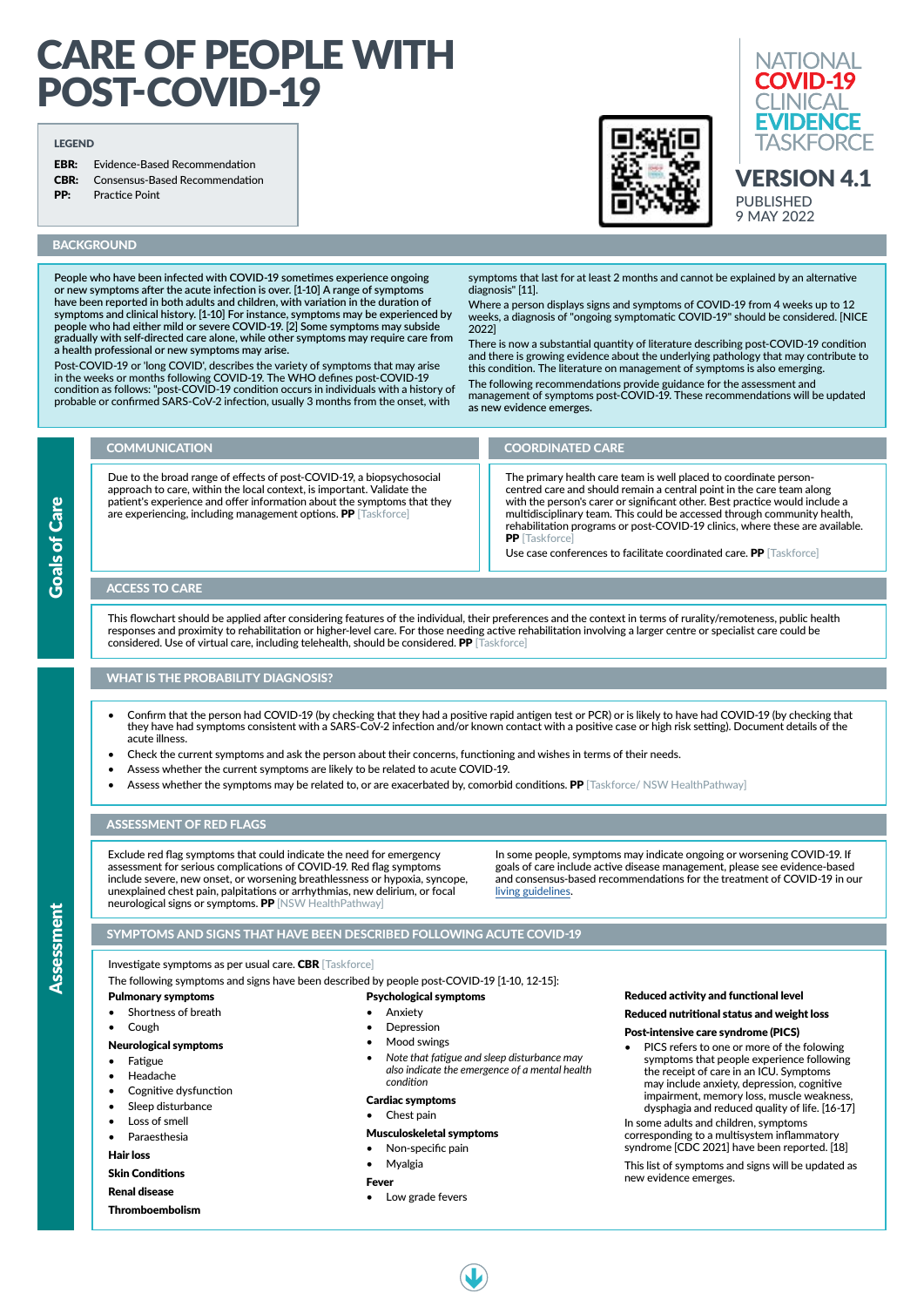**EBR:** Evidence-Based Recommendation CBR: Consensus-Based Recommendation



**Goals of Care** Goals of Care

- Confirm that the person had COVID-19 (by checking that they had a positive rapid antigen test or PCR) or is likely to have had COVID-19 (by checking that they have had symptoms consistent with a SARS-CoV-2 infection and/or known contact with a positive case or high risk setting). Document details of the acute illness.
- Check the current symptoms and ask the person about their concerns, functioning and wishes in terms of their needs.
- Assess whether the current symptoms are likely to be related to acute COVID-19.
- Assess whether the symptoms may be related to, or are exacerbated by, comorbid conditions. PP [Taskforce/ NSW HealthPathway]



# **BACKGROUND**

# CARE OF PEOPLE WITH POST-COVID-19

#### LEGEND

PP: Practice Point

- Fatigue
- Headache
- Cognitive dysfunction
- Sleep disturbance
- Loss of smell
- **Paraesthesia**
- **Anxiety**
- **Depression**
- Mood swings
- *• Note that fatigue and sleep disturbance may also indicate the emergence of a mental health condition*

Exclude red flag symptoms that could indicate the need for emergency assessment for serious complications of COVID-19. Red flag symptoms include severe, new onset, or worsening breathlessness or hypoxia, syncope, unexplained chest pain, palpitations or arrhythmias, new delirium, or focal neurological signs or symptoms. PP [NSW HealthPathway]

# WHAT IS THE PROBABILITY DIAGNOSIS?

Investigate symptoms as per usual care. CBR [Taskforce]

The following symptoms and signs have been described by people post-COVID-19 [1-10, 12-15]:

#### Pulmonary symptoms

This flowchart should be applied after considering features of the individual, their preferences and the context in terms of rurality/remoteness, public health responses and proximity to rehabilitation or higher-level care. For those needing active rehabilitation involving a larger centre or specialist care could be considered. Use of virtual care, including telehealth, should be considered. PP [Taskforce]

- Shortness of breath
- Cough

# Neurological symptoms

# Hair loss

Skin Conditions

Renal disease

Thromboembolism

#### Psychological symptoms

# Cardiac symptoms

• Chest pain

# Musculoskeletal symptoms

- Non-specific pain
- Myalgia

# Fever

Low grade fevers

### Reduced activity and functional level

# Reduced nutritional status and weight loss

## Post-intensive care syndrome (PICS)

• PICS refers to one or more of the folowing symptoms that people experience following the receipt of care in an ICU. Symptoms may include anxiety, depression, cognitive impairment, memory loss, muscle weakness, dysphagia and reduced quality of life. [16-17]

Where a person displays signs and symptoms of COVID-19 from 4 weeks up to 12 weeks, a diagnosis of "ongoing symptomatic COVID-19" should be considered. [NICE 2022]

> In some adults and children, symptoms corresponding to a multisystem inflammatory syndrome [CDC 2021] have been reported. [18]

This list of symptoms and signs will be updated as new evidence emerges.



# SYMPTOMS AND SIGNS THAT HAVE BEEN DESCRIBED FOLLOWING ACUTE COVID-19

# ASSESSMENT OF RED FLAGS

In some people, symptoms may indicate ongoing or worsening COVID-19. If goals of care include active disease management, please see evidence-based and consensus-based recommendations for the treatment of COVID-19 in our [living guidelines.](https://app.magicapp.org/#/guideline/L4Q5An)

# ACCESS TO CARE

**People who have been infected with COVID-19 sometimes experience ongoing or new symptoms after the acute infection is over. [1-10] A range of symptoms have been reported in both adults and children, with variation in the duration of symptoms and clinical history. [1-10] For instance, symptoms may be experienced by people who had either mild or severe COVID-19. [2] Some symptoms may subside gradually with self-directed care alone, while other symptoms may require care from a health professional or new symptoms may arise.** 

Post-COVID-19 or 'long COVID', describes the variety of symptoms that may arise in the weeks or months following COVID-19. The WHO defines post-COVID-19 condition as follows: "post-COVID-19 condition occurs in individuals with a history of probable or confirmed SARS-CoV-2 infection, usually 3 months from the onset, with

symptoms that last for at least 2 months and cannot be explained by an alternative diagnosis" [11].

There is now a substantial quantity of literature describing post-COVID-19 condition and there is growing evidence about the underlying pathology that may contribute to this condition. The literature on management of symptoms is also emerging.

The following recommendations provide guidance for the assessment and management of symptoms post-COVID-19. These recommendations will be updated **as new evidence emerges.** 

#### Due to the broad range of effects of post-COVID-19, a biopsychosocial approach to care, within the local context, is important. Validate the patient's experience and offer information about the symptoms that they are experiencing, including management options. PP [Taskforce] COMMUNICATION COORDINATED CARE The primary health care team is well placed to coordinate personcentred care and should remain a central point in the care team along with the person's carer or significant other. Best practice would include a multidisciplinary team. This could be accessed through community health, rehabilitation programs or post-COVID-19 clinics, where these are available. **PP** [Taskforce]

Use case conferences to facilitate coordinated care. PP [Taskforce]